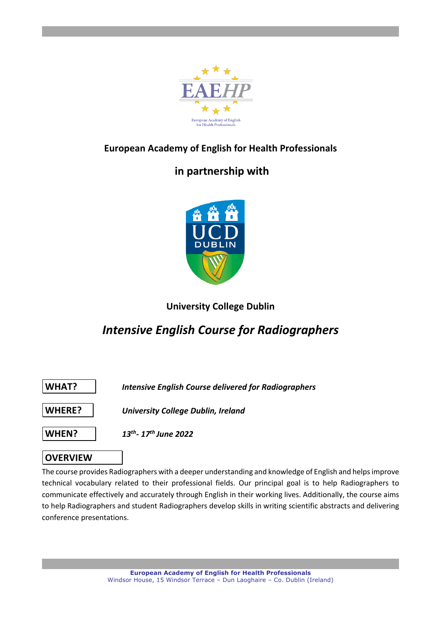

# **European Academy of English for Health Professionals**

# **in partnership with**



# **University College Dublin**

# *Intensive English Course for Radiographers*



# **OVERVIEW**

The course provides Radiographers with a deeper understanding and knowledge of English and helps improve technical vocabulary related to their professional fields. Our principal goal is to help Radiographers to communicate effectively and accurately through English in their working lives. Additionally, the course aims to help Radiographers and student Radiographers develop skills in writing scientific abstracts and delivering conference presentations.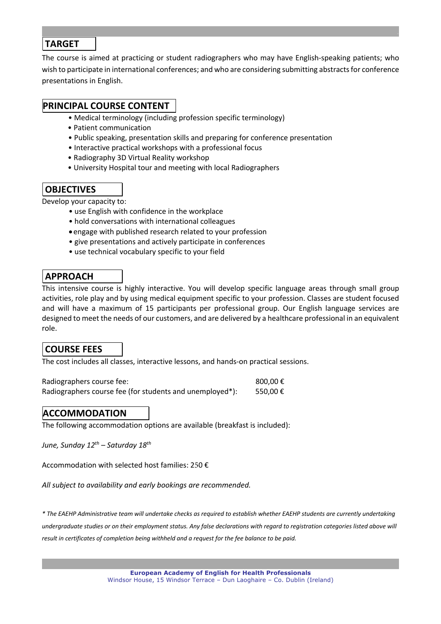### **TARGET**

The course is aimed at practicing or student radiographers who may have English-speaking patients; who wish to participate in international conferences; and who are considering submitting abstracts for conference presentations in English.

## **PRINCIPAL COURSE CONTENT**

- Medical terminology (including profession specific terminology)
- Patient communication
- Public speaking, presentation skills and preparing for conference presentation
- Interactive practical workshops with a professional focus
- Radiography 3D Virtual Reality workshop
- University Hospital tour and meeting with local Radiographers

# **OBJECTIVES**

Develop your capacity to:

- use English with confidence in the workplace
- hold conversations with international colleagues
- engage with published research related to your profession
- give presentations and actively participate in conferences
- use technical vocabulary specific to your field

## **APPROACH**

This intensive course is highly interactive. You will develop specific language areas through small group activities, role play and by using medical equipment specific to your profession. Classes are student focused and will have a maximum of 15 participants per professional group. Our English language services are designed to meet the needs of our customers, and are delivered by a healthcare professional in an equivalent role.

### **COURSE FEES**

The cost includes all classes, interactive lessons, and hands-on practical sessions.

| Radiographers course fee:                                | 800.00 € |
|----------------------------------------------------------|----------|
| Radiographers course fee (for students and unemployed*): | 550.00€  |

## **ACCOMMODATION**

The following accommodation options are available (breakfast is included):

*June, Sunday 12th – Saturday 18th*

Accommodation with selected host families: 250 €

*All subject to availability and early bookings are recommended.*

*\* The EAEHP Administrative team will undertake checks as required to establish whether EAEHP students are currently undertaking undergraduate studies or on their employment status. Any false declarations with regard to registration categories listed above will result in certificates of completion being withheld and a request for the fee balance to be paid.*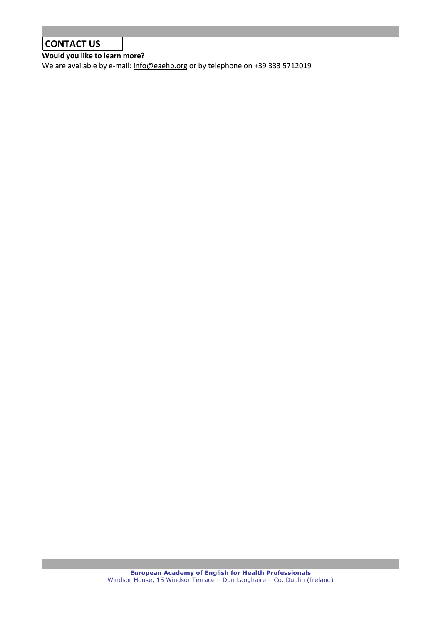# **CONTACT US**

**Would you like to learn more?** 

We are available by e-mail: info@eaehp.org or by telephone on +39 333 5712019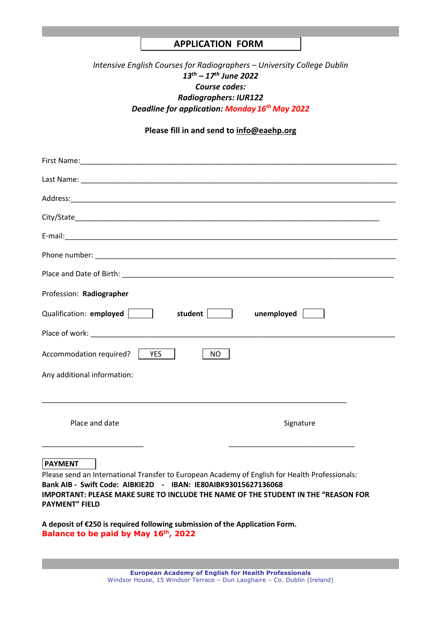### **APPLICATION FORM**

### *Intensive English Courses for Radiographers – University College Dublin 13th – 17th June 2022 Course codes: Radiographers: IUR122 Deadline for application: Monday 16th May 2022*

### **Please fill in and send to info@eaehp.org**

| Profession: Radiographer                                                                                                                                                                                                                                                                         |
|--------------------------------------------------------------------------------------------------------------------------------------------------------------------------------------------------------------------------------------------------------------------------------------------------|
| Qualification: employed  <br>student<br>unemployed                                                                                                                                                                                                                                               |
| Place of work: The contract of the contract of work:                                                                                                                                                                                                                                             |
| Accommodation required?   YES<br>NO.                                                                                                                                                                                                                                                             |
| Any additional information:                                                                                                                                                                                                                                                                      |
|                                                                                                                                                                                                                                                                                                  |
| Place and date<br>Signature                                                                                                                                                                                                                                                                      |
| <b>PAYMENT</b><br>Please send an International Transfer to European Academy of English for Health Professionals:<br>Bank AIB - Swift Code: AIBKIE2D - IBAN: IE80AIBK93015627136068<br>IMPORTANT: PLEASE MAKE SURE TO INCLUDE THE NAME OF THE STUDENT IN THE "REASON FOR<br><b>PAYMENT" FIELD</b> |

**A deposit of €250 is required following submission of the Application Form. Balance to be paid by May 16th, 2022**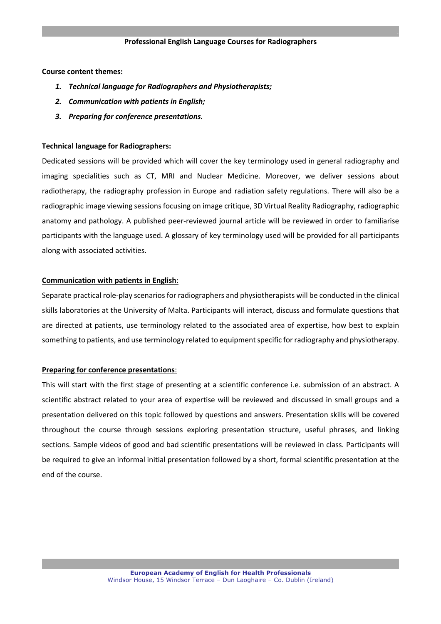#### **Professional English Language Courses for Radiographers**

#### **Course content themes:**

- *1. Technical language for Radiographers and Physiotherapists;*
- *2. Communication with patients in English;*
- *3. Preparing for conference presentations.*

#### **Technical language for Radiographers:**

Dedicated sessions will be provided which will cover the key terminology used in general radiography and imaging specialities such as CT, MRI and Nuclear Medicine. Moreover, we deliver sessions about radiotherapy, the radiography profession in Europe and radiation safety regulations. There will also be a radiographic image viewing sessions focusing on image critique, 3D Virtual Reality Radiography, radiographic anatomy and pathology. A published peer-reviewed journal article will be reviewed in order to familiarise participants with the language used. A glossary of key terminology used will be provided for all participants along with associated activities.

#### **Communication with patients in English**:

Separate practical role-play scenarios for radiographers and physiotherapists will be conducted in the clinical skills laboratories at the University of Malta. Participants will interact, discuss and formulate questions that are directed at patients, use terminology related to the associated area of expertise, how best to explain something to patients, and use terminology related to equipment specific for radiography and physiotherapy.

#### **Preparing for conference presentations**:

This will start with the first stage of presenting at a scientific conference i.e. submission of an abstract. A scientific abstract related to your area of expertise will be reviewed and discussed in small groups and a presentation delivered on this topic followed by questions and answers. Presentation skills will be covered throughout the course through sessions exploring presentation structure, useful phrases, and linking sections. Sample videos of good and bad scientific presentations will be reviewed in class. Participants will be required to give an informal initial presentation followed by a short, formal scientific presentation at the end of the course.